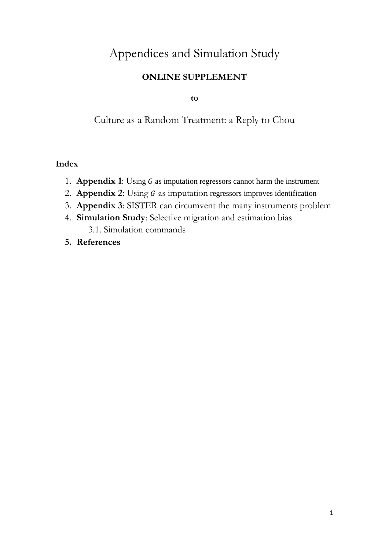# Appendices and Simulation Study

## **ONLINE SUPPLEMENT**

**to**

Culture as a Random Treatment: a Reply to Chou

### **Index**

- 1. **Appendix 1**: Using G as imputation regressors cannot harm the instrument
- 2. **Appendix 2**: Using G as imputation regressors improves identification
- 3. **Appendix 3**: SISTER can circumvent the many instruments problem
- 4. **Simulation Study**: Selective migration and estimation bias 3.1. Simulation commands
- **5. References**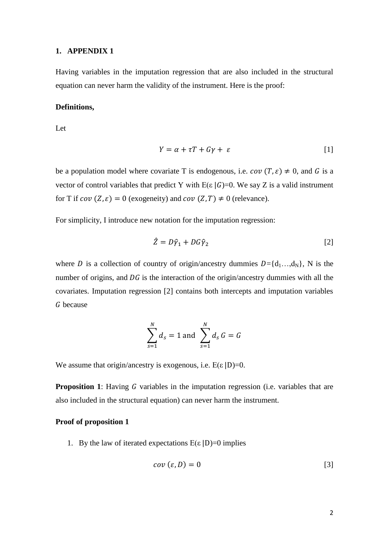#### **1. APPENDIX 1**

Having variables in the imputation regression that are also included in the structural equation can never harm the validity of the instrument. Here is the proof:

#### **Definitions,**

Let

$$
Y = \alpha + \tau T + G\gamma + \varepsilon \tag{1}
$$

be a population model where covariate T is endogenous, i.e.  $cov(T, \varepsilon) \neq 0$ , and G is a vector of control variables that predict Y with  $E(\varepsilon |G)=0$ . We say Z is a valid instrument for T if  $cov(Z, \varepsilon) = 0$  (exogeneity) and  $cov(Z, T) \neq 0$  (relevance).

For simplicity, I introduce new notation for the imputation regression:

$$
\hat{Z} = D\hat{\gamma}_1 + DG\hat{\gamma}_2 \tag{2}
$$

where D is a collection of country of origin/ancestry dummies  $D = \{d_1, ..., d_N\}$ , N is the number of origins, and  $\overline{D}G$  is the interaction of the origin/ancestry dummies with all the covariates. Imputation regression [2] contains both intercepts and imputation variables G because

$$
\sum_{s=1}^{N} d_s = 1 \text{ and } \sum_{s=1}^{N} d_s G = G
$$

We assume that origin/ancestry is exogenous, i.e.  $E(\varepsilon | D)=0$ .

**Proposition** 1: Having G variables in the imputation regression (i.e. variables that are also included in the structural equation) can never harm the instrument.

#### **Proof of proposition 1**

1. By the law of iterated expectations  $E(\varepsilon | D)=0$  implies

$$
cov\left(\varepsilon,D\right)=0\tag{3}
$$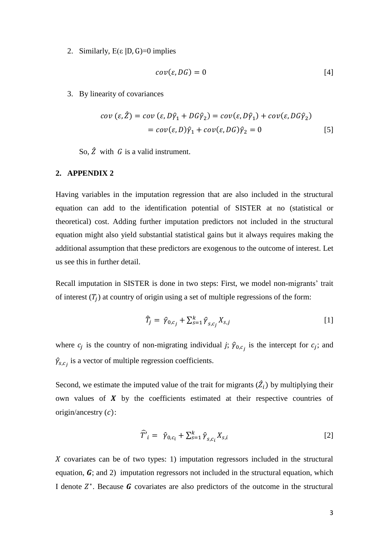#### 2. Similarly,  $E(\varepsilon | D, G)=0$  implies

$$
cov(\varepsilon, DG) = 0 \tag{4}
$$

3. By linearity of covariances

$$
cov(\varepsilon, \hat{Z}) = cov(\varepsilon, D\hat{\gamma}_1 + DG\hat{\gamma}_2) = cov(\varepsilon, D\hat{\gamma}_1) + cov(\varepsilon, DG\hat{\gamma}_2)
$$
  
=  $cov(\varepsilon, D)\hat{\gamma}_1 + cov(\varepsilon, DG)\hat{\gamma}_2 = 0$  [5]

So,  $\hat{Z}$  with  $G$  is a valid instrument.

#### **2. APPENDIX 2**

Having variables in the imputation regression that are also included in the structural equation can add to the identification potential of SISTER at no (statistical or theoretical) cost. Adding further imputation predictors not included in the structural equation might also yield substantial statistical gains but it always requires making the additional assumption that these predictors are exogenous to the outcome of interest. Let us see this in further detail.

Recall imputation in SISTER is done in two steps: First, we model non-migrants' trait of interest  $(T_j)$  at country of origin using a set of multiple regressions of the form:

$$
\widehat{T}_j = \widehat{\gamma}_{0,c_j} + \sum_{s=1}^k \widehat{\gamma}_{s,c_j} X_{s,j} \tag{1}
$$

where  $c_j$  is the country of non-migrating individual *j*;  $\hat{\gamma}_{0,c_j}$  is the intercept for  $c_j$ ; and  $\hat{\gamma}_{s,c_j}$  is a vector of multiple regression coefficients.

Second, we estimate the imputed value of the trait for migrants  $(\hat{Z}_i)$  by multiplying their own values of  $X$  by the coefficients estimated at their respective countries of origin/ancestry  $(c)$ :

$$
\widehat{T}'_i = \widehat{\gamma}_{0,c_i} + \sum_{s=1}^k \widehat{\gamma}_{s,c_i} X_{s,i} \tag{2}
$$

 $X$  covariates can be of two types: 1) imputation regressors included in the structural equation,  $\boldsymbol{G}$ ; and 2) imputation regressors not included in the structural equation, which I denote  $Z^*$ . Because G covariates are also predictors of the outcome in the structural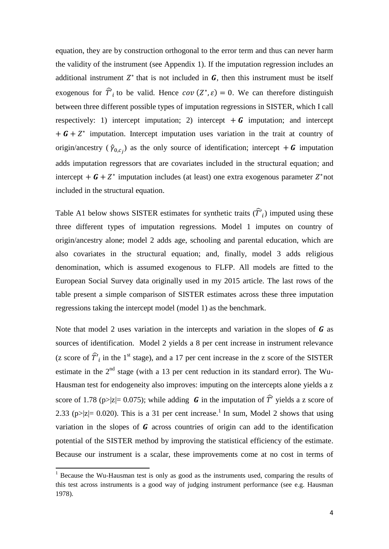equation, they are by construction orthogonal to the error term and thus can never harm the validity of the instrument (see Appendix 1). If the imputation regression includes an additional instrument  $Z^*$  that is not included in  $G$ , then this instrument must be itself exogenous for  $\hat{T}'_i$  to be valid. Hence  $cov(Z^*, \varepsilon) = 0$ . We can therefore distinguish between three different possible types of imputation regressions in SISTER, which I call respectively: 1) intercept imputation; 2) intercept  $+ G$  imputation; and intercept  $+ G + Z^*$  imputation. Intercept imputation uses variation in the trait at country of origin/ancestry  $(\hat{\gamma}_{0,c_j})$  as the only source of identification; intercept  $+ G$  imputation adds imputation regressors that are covariates included in the structural equation; and intercept +  $\mathbf{G} + Z^*$  imputation includes (at least) one extra exogenous parameter  $Z^*$ not included in the structural equation.

Table A1 below shows SISTER estimates for synthetic traits  $(\hat{T}'_i)$  imputed using these three different types of imputation regressions. Model 1 imputes on country of origin/ancestry alone; model 2 adds age, schooling and parental education, which are also covariates in the structural equation; and, finally, model 3 adds religious denomination, which is assumed exogenous to FLFP. All models are fitted to the European Social Survey data originally used in my 2015 article. The last rows of the table present a simple comparison of SISTER estimates across these three imputation regressions taking the intercept model (model 1) as the benchmark.

Note that model 2 uses variation in the intercepts and variation in the slopes of  **as** sources of identification. Model 2 yields a 8 per cent increase in instrument relevance (z score of  $\hat{T'}_i$  in the 1<sup>st</sup> stage), and a 17 per cent increase in the z score of the SISTER estimate in the  $2<sup>nd</sup>$  stage (with a 13 per cent reduction in its standard error). The Wu-Hausman test for endogeneity also improves: imputing on the intercepts alone yields a z score of 1.78 (p>|z|= 0.075); while adding **G** in the imputation of  $\hat{T}'$  yields a z score of 2.33 (p>|z|= 0.020). This is a 31 per cent increase.<sup>1</sup> In sum, Model 2 shows that using variation in the slopes of  **across countries of origin can add to the identification** potential of the SISTER method by improving the statistical efficiency of the estimate. Because our instrument is a scalar, these improvements come at no cost in terms of

1

 $<sup>1</sup>$  Because the Wu-Hausman test is only as good as the instruments used, comparing the results of</sup> this test across instruments is a good way of judging instrument performance (see e.g. Hausman 1978).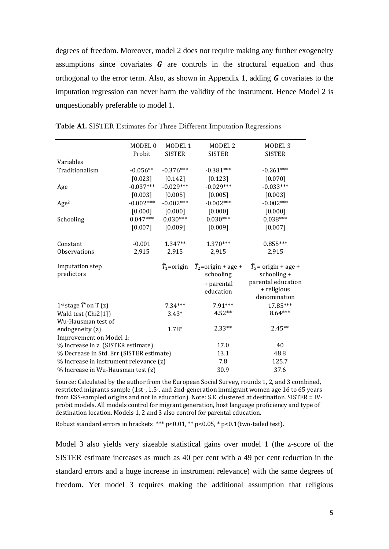degrees of freedom. Moreover, model 2 does not require making any further exogeneity assumptions since covariates  $\boldsymbol{G}$  are controls in the structural equation and thus orthogonal to the error term. Also, as shown in Appendix 1, adding  **covariates to the** imputation regression can never harm the validity of the instrument. Hence Model 2 is unquestionably preferable to model 1.

|                                           | MODEL <sub>0</sub> | MODEL <sub>1</sub>      | MODEL <sub>2</sub>              | MODEL <sub>3</sub>           |
|-------------------------------------------|--------------------|-------------------------|---------------------------------|------------------------------|
|                                           | Probit             | <b>SISTER</b>           | <b>SISTER</b>                   | <b>SISTER</b>                |
| Variables                                 |                    |                         |                                 |                              |
| Traditionalism                            | $-0.056**$         | $-0.376***$             | $-0.381***$                     | $-0.261***$                  |
|                                           | $[0.023]$          | [0.142]                 | [0.123]                         | $[0.070]$                    |
| Age                                       | $-0.037***$        | $-0.029***$             | $-0.029***$                     | $-0.033***$                  |
|                                           | [0.003]            | $[0.005]$               | [0.005]                         | $[0.003]$                    |
| Age <sup>2</sup>                          | $-0.002***$        | $-0.002***$             | $-0.002***$                     | $-0.002***$                  |
|                                           | [0.000]            | $[0.000]$               | $[0.000]$                       | [0.000]                      |
| Schooling                                 | $0.047***$         | $0.030***$              | $0.030***$                      | $0.038***$                   |
|                                           | $[0.007]$          | [0.009]                 | [0.009]                         | [0.007]                      |
|                                           |                    |                         |                                 |                              |
| Constant                                  | $-0.001$           | $1.347**$               | $1.370***$                      | $0.855***$                   |
| <b>Observations</b>                       | 2,915              | 2,915                   | 2,915                           | 2,915                        |
| <b>Imputation</b> step                    |                    | $\widehat{T}_1$ =origin | $\widehat{T}_2$ =origin + age + | $\hat{T}_3$ = origin + age + |
| predictors                                |                    |                         | schooling                       | schooling +                  |
|                                           |                    |                         | + parental                      | parental education           |
|                                           |                    |                         | education                       | + religious                  |
|                                           |                    |                         |                                 | denomination                 |
| 1 <sup>st</sup> stage $\hat{T}$ 'on T (z) |                    | $7.34***$               | 7.91***                         | 17.85***                     |
| Wald test (Chi2[1])                       |                    | $3.43*$                 | $4.52**$                        | 8.64***                      |
| Wu-Hausman test of                        |                    |                         |                                 |                              |
| endogeneity (z)                           |                    | $1.78*$                 | $2.33**$                        | $2.45**$                     |
| Improvement on Model 1:                   |                    |                         |                                 |                              |
| % Increase in z (SISTER estimate)         |                    |                         | 17.0                            | 40                           |
| % Decrease in Std. Err (SISTER estimate)  |                    |                         | 13.1                            | 48.8                         |
| % Increase in instrument relevance (z)    |                    |                         | 7.8                             | 125.7                        |
| % Increase in Wu-Hausman test (z)         |                    |                         | 30.9                            | 37.6                         |

**Table A1.** SISTER Estimates for Three Different Imputation Regressions

Source: Calculated by the author from the European Social Survey, rounds 1, 2, and 3 combined, restricted migrants sample (1st-, 1.5-, and 2nd-generation immigrant women age 16 to 65 years from ESS-sampled origins and not in education). Note: S.E. clustered at destination. SISTER = IVprobit models. All models control for migrant generation, host language proficiency and type of destination location. Models 1, 2 and 3 also control for parental education.

Robust standard errors in brackets \*\*\* p<0.01, \*\* p<0.05, \* p<0.1(two-tailed test).

Model 3 also yields very sizeable statistical gains over model 1 (the z-score of the SISTER estimate increases as much as 40 per cent with a 49 per cent reduction in the standard errors and a huge increase in instrument relevance) with the same degrees of freedom. Yet model 3 requires making the additional assumption that religious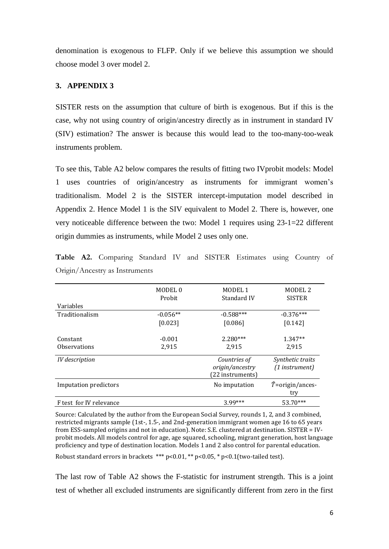denomination is exogenous to FLFP. Only if we believe this assumption we should choose model 3 over model 2.

#### **3. APPENDIX 3**

SISTER rests on the assumption that culture of birth is exogenous. But if this is the case, why not using country of origin/ancestry directly as in instrument in standard IV (SIV) estimation? The answer is because this would lead to the too-many-too-weak instruments problem.

To see this, Table A2 below compares the results of fitting two IVprobit models: Model 1 uses countries of origin/ancestry as instruments for immigrant women's traditionalism. Model 2 is the SISTER intercept-imputation model described in Appendix 2. Hence Model 1 is the SIV equivalent to Model 2. There is, however, one very noticeable difference between the two: Model 1 requires using 23-1=22 different origin dummies as instruments, while Model 2 uses only one.

|                              | MODEL <sub>0</sub><br>Probit | MODEL 1<br>Standard IV                              | MODEL <sub>2</sub><br><b>SISTER</b> |
|------------------------------|------------------------------|-----------------------------------------------------|-------------------------------------|
| Variables                    |                              |                                                     |                                     |
| Traditionalism               | $-0.056**$                   | $-0.588***$                                         | $-0.376***$                         |
|                              | [0.023]                      | [0.086]                                             | [0.142]                             |
| Constant                     | $-0.001$                     | $2.280***$                                          | $1.347**$                           |
| <b>Observations</b>          | 2,915                        | 2,915                                               | 2,915                               |
| IV description               |                              | Countries of<br>origin/ancestry<br>(22 instruments) | Synthetic traits<br>(1 instrument)  |
| <b>Imputation predictors</b> |                              | No imputation                                       | $\hat{T}$ =origin/ances-<br>try     |
| F test for IV relevance      |                              | $3.99***$                                           | 53.70***                            |

**Table A2.** Comparing Standard IV and SISTER Estimates using Country of Origin/Ancestry as Instruments

Source: Calculated by the author from the European Social Survey, rounds 1, 2, and 3 combined, restricted migrants sample (1st-, 1.5-, and 2nd-generation immigrant women age 16 to 65 years from ESS-sampled origins and not in education). Note: S.E. clustered at destination. SISTER = IVprobit models. All models control for age, age squared, schooling, migrant generation, host language proficiency and type of destination location. Models 1 and 2 also control for parental education.

Robust standard errors in brackets \*\*\* p<0.01, \*\* p<0.05, \* p<0.1(two-tailed test).

The last row of Table A2 shows the F-statistic for instrument strength. This is a joint test of whether all excluded instruments are significantly different from zero in the first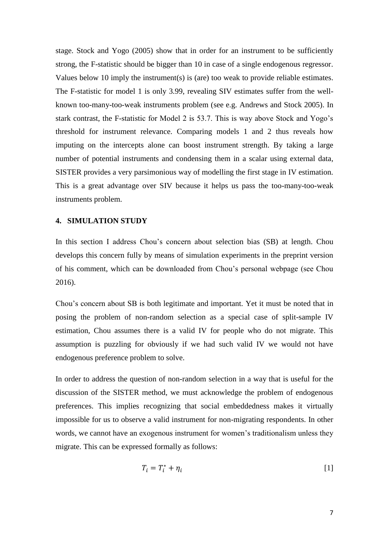stage. Stock and Yogo (2005) show that in order for an instrument to be sufficiently strong, the F-statistic should be bigger than 10 in case of a single endogenous regressor. Values below 10 imply the instrument(s) is (are) too weak to provide reliable estimates. The F-statistic for model 1 is only 3.99, revealing SIV estimates suffer from the wellknown too-many-too-weak instruments problem (see e.g. Andrews and Stock 2005). In stark contrast, the F-statistic for Model 2 is 53.7. This is way above Stock and Yogo's threshold for instrument relevance. Comparing models 1 and 2 thus reveals how imputing on the intercepts alone can boost instrument strength. By taking a large number of potential instruments and condensing them in a scalar using external data, SISTER provides a very parsimonious way of modelling the first stage in IV estimation. This is a great advantage over SIV because it helps us pass the too-many-too-weak instruments problem.

#### **4. SIMULATION STUDY**

In this section I address Chou's concern about selection bias (SB) at length. Chou develops this concern fully by means of simulation experiments in the preprint version of his comment, which can be downloaded from Chou's personal webpage (see Chou 2016).

Chou's concern about SB is both legitimate and important. Yet it must be noted that in posing the problem of non-random selection as a special case of split-sample IV estimation, Chou assumes there is a valid IV for people who do not migrate. This assumption is puzzling for obviously if we had such valid IV we would not have endogenous preference problem to solve.

In order to address the question of non-random selection in a way that is useful for the discussion of the SISTER method, we must acknowledge the problem of endogenous preferences. This implies recognizing that social embeddedness makes it virtually impossible for us to observe a valid instrument for non-migrating respondents. In other words, we cannot have an exogenous instrument for women's traditionalism unless they migrate. This can be expressed formally as follows:

$$
T_i = T_i^* + \eta_i \tag{1}
$$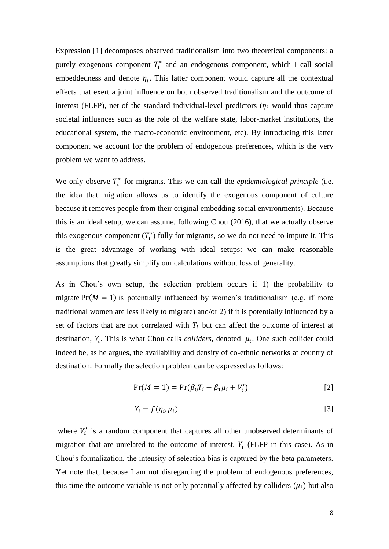Expression [1] decomposes observed traditionalism into two theoretical components: a purely exogenous component  $T_i^*$  and an endogenous component, which I call social embeddedness and denote  $\eta_i$ . This latter component would capture all the contextual effects that exert a joint influence on both observed traditionalism and the outcome of interest (FLFP), net of the standard individual-level predictors  $(\eta_i$  would thus capture societal influences such as the role of the welfare state, labor-market institutions, the educational system, the macro-economic environment, etc). By introducing this latter component we account for the problem of endogenous preferences, which is the very problem we want to address.

We only observe  $T_i^*$  for migrants. This we can call the *epidemiological principle* (i.e. the idea that migration allows us to identify the exogenous component of culture because it removes people from their original embedding social environments). Because this is an ideal setup, we can assume, following Chou (2016), that we actually observe this exogenous component  $(T_i^*)$  fully for migrants, so we do not need to impute it. This is the great advantage of working with ideal setups: we can make reasonable assumptions that greatly simplify our calculations without loss of generality.

As in Chou's own setup, the selection problem occurs if 1) the probability to migrate  $Pr(M = 1)$  is potentially influenced by women's traditionalism (e.g. if more traditional women are less likely to migrate) and/or 2) if it is potentially influenced by a set of factors that are not correlated with  $T_i$  but can affect the outcome of interest at destination,  $Y_i$ . This is what Chou calls *colliders*, denoted  $\mu_i$ . One such collider could indeed be, as he argues, the availability and density of co-ethnic networks at country of destination. Formally the selection problem can be expressed as follows:

$$
Pr(M = 1) = Pr(\beta_0 T_i + \beta_1 \mu_i + V'_i)
$$
\n[2]

$$
Y_i = f(\eta_i, \mu_i) \tag{3}
$$

where  $V_i'$  is a random component that captures all other unobserved determinants of migration that are unrelated to the outcome of interest,  $Y_i$  (FLFP in this case). As in Chou's formalization, the intensity of selection bias is captured by the beta parameters. Yet note that, because I am not disregarding the problem of endogenous preferences, this time the outcome variable is not only potentially affected by colliders  $(\mu_i)$  but also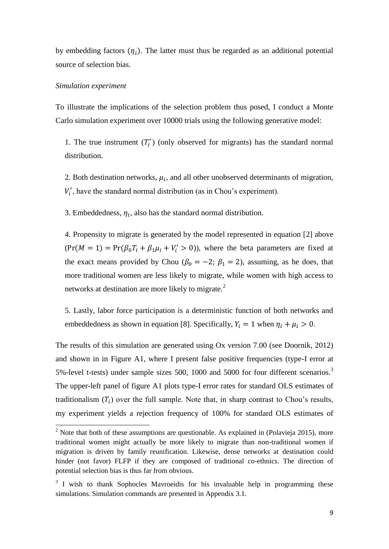by embedding factors  $(\eta_i)$ . The latter must thus be regarded as an additional potential source of selection bias.

#### *Simulation experiment*

**.** 

To illustrate the implications of the selection problem thus posed, I conduct a Monte Carlo simulation experiment over 10000 trials using the following generative model:

1. The true instrument  $(T_i^*)$  (only observed for migrants) has the standard normal distribution.

2. Both destination networks,  $\mu_i$ , and all other unobserved determinants of migration,  $V'_i$ , have the standard normal distribution (as in Chou's experiment).

3. Embeddedness,  $\eta_i$ , also has the standard normal distribution.

4. Propensity to migrate is generated by the model represented in equation [2] above  $(\Pr(M = 1) = \Pr(\beta_0 T_i + \beta_1 \mu_i + V'_i > 0))$ , where the beta parameters are fixed at the exact means provided by Chou ( $\beta_0 = -2$ ;  $\beta_1 = 2$ ), assuming, as he does, that more traditional women are less likely to migrate, while women with high access to networks at destination are more likely to migrate.<sup>2</sup>

5. Lastly, labor force participation is a deterministic function of both networks and embeddedness as shown in equation [8]. Specifically,  $Y_i = 1$  when  $\eta_i + \mu_i > 0$ .

The results of this simulation are generated using Ox version 7.00 (see Doornik, 2012) and shown in in Figure A1, where I present false positive frequencies (type-I error at 5%-level t-tests) under sample sizes 500, 1000 and 5000 for four different scenarios.<sup>3</sup> The upper-left panel of figure A1 plots type-I error rates for standard OLS estimates of traditionalism  $(T_i)$  over the full sample. Note that, in sharp contrast to Chou's results, my experiment yields a rejection frequency of 100% for standard OLS estimates of

 $2$  Note that both of these assumptions are questionable. As explained in (Polavieja 2015), more traditional women might actually be more likely to migrate than non-traditional women if migration is driven by family reunification. Likewise, dense networks at destination could hinder (not favor) FLFP if they are composed of traditional co-ethnics. The direction of potential selection bias is thus far from obvious.

<sup>&</sup>lt;sup>3</sup> I wish to thank Sophocles Mavroeidis for his invaluable help in programming these simulations. Simulation commands are presented in Appendix 3.1.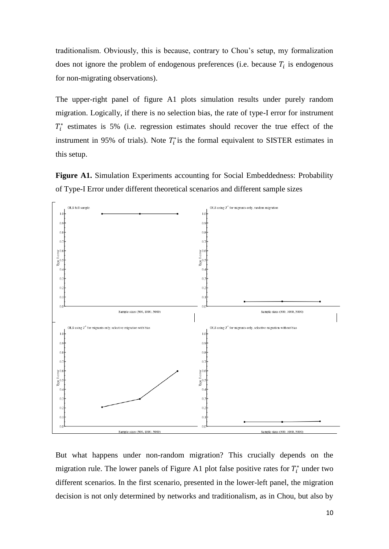traditionalism. Obviously, this is because, contrary to Chou's setup, my formalization does not ignore the problem of endogenous preferences (i.e. because  $T_i$  is endogenous for non-migrating observations).

The upper-right panel of figure A1 plots simulation results under purely random migration. Logically, if there is no selection bias, the rate of type-I error for instrument  $T_i^*$  estimates is 5% (i.e. regression estimates should recover the true effect of the instrument in 95% of trials). Note  $T_i^*$  is the formal equivalent to SISTER estimates in this setup.

**Figure A1.** Simulation Experiments accounting for Social Embeddedness: Probability of Type-I Error under different theoretical scenarios and different sample sizes



But what happens under non-random migration? This crucially depends on the migration rule. The lower panels of Figure A1 plot false positive rates for  $T_i^*$  under two different scenarios. In the first scenario, presented in the lower-left panel, the migration decision is not only determined by networks and traditionalism, as in Chou, but also by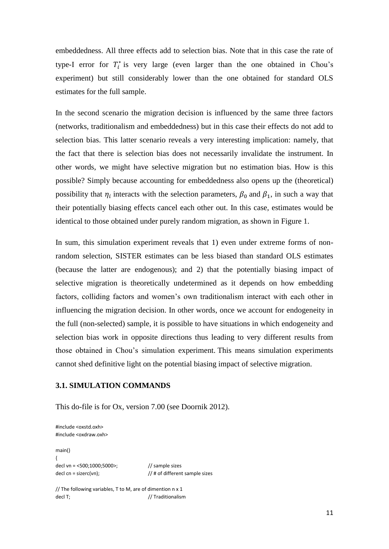embeddedness. All three effects add to selection bias. Note that in this case the rate of type-I error for  $T_i^*$  is very large (even larger than the one obtained in Chou's experiment) but still considerably lower than the one obtained for standard OLS estimates for the full sample.

In the second scenario the migration decision is influenced by the same three factors (networks, traditionalism and embeddedness) but in this case their effects do not add to selection bias. This latter scenario reveals a very interesting implication: namely, that the fact that there is selection bias does not necessarily invalidate the instrument. In other words, we might have selective migration but no estimation bias. How is this possible? Simply because accounting for embeddedness also opens up the (theoretical) possibility that  $\eta_i$  interacts with the selection parameters,  $\beta_0$  and  $\beta_1$ , in such a way that their potentially biasing effects cancel each other out. In this case, estimates would be identical to those obtained under purely random migration, as shown in Figure 1.

In sum, this simulation experiment reveals that 1) even under extreme forms of nonrandom selection, SISTER estimates can be less biased than standard OLS estimates (because the latter are endogenous); and 2) that the potentially biasing impact of selective migration is theoretically undetermined as it depends on how embedding factors, colliding factors and women's own traditionalism interact with each other in influencing the migration decision. In other words, once we account for endogeneity in the full (non-selected) sample, it is possible to have situations in which endogeneity and selection bias work in opposite directions thus leading to very different results from those obtained in Chou's simulation experiment. This means simulation experiments cannot shed definitive light on the potential biasing impact of selective migration.

#### **3.1. SIMULATION COMMANDS**

This do-file is for Ox, version 7.00 (see Doornik 2012).

#include <oxstd.oxh> #include <oxdraw.oxh>

main() { decl vn = <500;1000;5000>; // sample sizes decl cn = sizerc(vn); // # of different sample sizes

// The following variables, T to M, are of dimention n x 1 decl T;  $/$ / Traditionalism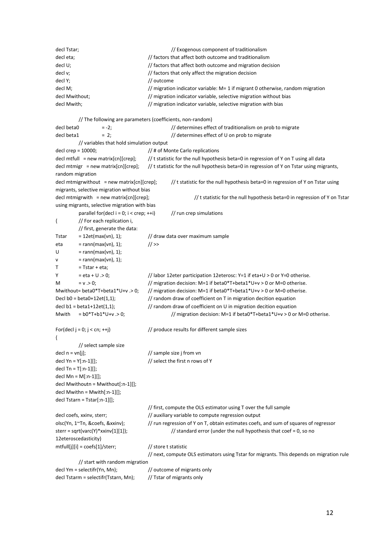| decl Tstar;    | // Exogenous component of traditionalism                                       |  |  |
|----------------|--------------------------------------------------------------------------------|--|--|
| decl eta;      | // factors that affect both outcome and traditionalism                         |  |  |
| decl U;        | // factors that affect both outcome and migration decision                     |  |  |
| decl v:        | // factors that only affect the migration decision                             |  |  |
| decl Y;        | // outcome                                                                     |  |  |
| decl M:        | // migration indicator variable: M= 1 if migrant 0 otherwise, random migration |  |  |
| decl Mwithout; | // migration indicator variable, selective migration without bias              |  |  |
| decl Mwith:    | // migration indicator variable, selective migration with bias                 |  |  |

// The following are parameters (coefficients, non-random) decl beta0 = -2; // determines effect of traditionalism on prob to migrate decl beta1 = 2;  $\frac{1}{2}$  // determines effect of U on prob to migrate // variables that hold simulation output decl crep = 10000; // # of Monte Carlo replications decl mtfull = new matrix[cn][crep];  $//$  t statistic for the null hypothesis beta=0 in regression of Y on T using all data decl mtmigr = new matrix[cn][crep]; // t statistic for the null hypothesis beta=0 in regression of Y on Tstar using migrants, random migration decl mtmigrwithout = new matrix[cn][crep]; // t statistic for the null hypothesis beta=0 in regression of Y on Tstar using migrants, selective migration without bias decl mtmigrwith = new matrix[cn][crep]; // t statistic for the null hypothesis beta=0 in regression of Y on Tstar using migrants, selective migration with bias parallel for(decl i = 0; i < crep; ++i)  $\frac{1}{r}$  run crep simulations { // For each replication i, // first, generate the data: Tstar =  $12et(max(vn), 1)$ ; // draw data over maximum sample eta = rann(max(vn), 1);  $//$  >>  $U = \text{rann}(\text{max}(vn), 1);$  $v = \text{rann}(\text{max}(vn), 1);$  $T = Tstar + eta$ ; Y  $= eta + U > 0$ ; // labor 12eter participation 12eterosc: Y=1 if eta+U > 0 or Y=0 otherise. M  $= v > 0$ ;  $/$  migration decision: M=1 if beta0\*T+beta1\*U+v > 0 or M=0 otherise. Mwithout= beta0\*T+beta1\*U+v .> 0; // migration decision: M=1 if beta0\*T+beta1\*U+v > 0 or M=0 otherise. Decl b0 = beta0+12et(1,1); // random draw of coefficient on T in migration decition equation decl  $b1 = beta1+12et(1,1);$  // random draw of coefficient on U in migration decition equation Mwith =  $b0*T+b1*U+v > 0$ ; // migration decision: M=1 if beta0\*T+beta1\*U+v > 0 or M=0 otherise. For(decl  $j = 0$ ;  $j < cn$ ;  $++j$ ) // produce results for different sample sizes { // select sample size decl  $n = vn[j];$  // sample size j from vn decl Yn = Y[:n-1][];  $\frac{1}{2}$  // select the first n rows of Y decl Tn = T[:n-1][]; decl Mn = M[:n-1][]; decl Mwithoutn = Mwithout[:n-1][]; decl Mwithn = Mwith[:n-1][]; decl Tstarn = Tstar[:n-1][]; // first, compute the OLS estimator using T over the full sample decl coefs, xxinv, sterr;  $\frac{1}{2}$  auxiliary variable to compute regression output olsc(Yn, 1~Tn, &coefs, &xxinv); // run regression of Y on T, obtain estimates coefs, and sum of squares of regressor sterr = sqrt(varc(Y)\*xxinv[1][1]); // standard error (under the null hypothesis that coef = 0, so no 12eteroscedasticity) mtfull[j][i] = coefs[1]/sterr; // store t statistic // next, compute OLS estimators using Tstar for migrants. This depends on migration rule

// start with random migration decl Ym = selectifr(Yn, Mn); // outcome of migrants only decl Tstarm = selectifr(Tstarn, Mn);  $\frac{1}{1}$  // Tstar of migrants only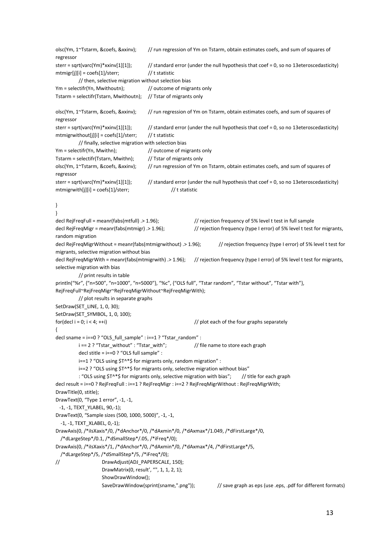```
olsc(Ym, 1~Tstarm, &coefs, &xxinv); // run regression of Ym on Tstarm, obtain estimates coefs, and sum of squares of 
regressor 
sterr = sqrt(varc(Ym)*xxinv[1][1]); // standard error (under the null hypothesis that coef = 0, so no 13eteroscedasticity)
mtmigr[j][i] = \text{coeff}[1]/\text{ster}; // t statistic
          // then, selective migration without selection bias
Ym = selectifr(Yn, Mwithoutn); \frac{1}{2} // outcome of migrants only
Tstarm = selectifr(Tstarn, Mwithoutn); // Tstar of migrants only
olsc(Ym, 1~Tstarm, &coefs, &xxinv); // run regression of Ym on Tstarm, obtain estimates coefs, and sum of squares of 
regressor 
sterr = sqrt(varc(Ym)*xxinv[1][1]); // standard error (under the null hypothesis that coef = 0, so no 13eteroscedasticity)
mtmigrwithout[j][i] = coefs[1]/sterr; // t statistic
          // finally, selective migration with selection bias
Ym = selectifr(Yn, Mwithn); \frac{1}{2} outcome of migrants only
Tstarm = selectifr(Tstarn, Mwithn); \frac{1}{15} // Tstar of migrants only
olsc(Ym, 1~Tstarm, &coefs, &xxinv); // run regression of Ym on Tstarm, obtain estimates coefs, and sum of squares of 
regressor 
sterr = sqrt(varc(Ym)*xxinv[1][1]); // standard error (under the null hypothesis that coef = 0, so no 13eteroscedasticity)
mtmigrwith[j][i] = \text{coeff}[1]/\text{ster}; // t statistic
}
}
decl RejFreqFull = meanr(fabs(mtfull) .> 1.96); // rejection frequency of 5% level t test in full sample
decl RejFreqMigr = meanr(fabs(mtmigr) .> 1.96); // rejection frequency (type I error) of 5% level t test for migrants,
random migration
decl RejFreqMigrWithout = meanr(fabs(mtmigrwithout) .> 1.96); // rejection frequency (type I error) of 5% level t test for 
migrants, selective migration without bias
decl RejFreqMigrWith = meanr(fabs(mtmigrwith) .> 1.96); // rejection frequency (type I error) of 5% level t test for migrants,
selective migration with bias
          // print results in table
println("%r", {"n=500", "n=1000", "n=5000"}, "%c", {"OLS full", "Tstar random", "Tstar without", "Tstar with"},
RejFreqFull~RejFreqMigr~RejFreqMigrWithout~RejFreqMigrWith);
          // plot results in separate graphs
SetDraw(SET_LINE, 1, 0, 30);
SetDraw(SET_SYMBOL, 1, 0, 100);
for(decl i = 0; i < 4; ++i) \frac{1}{2} // plot each of the four graphs separately
{
decl sname = i==0 ? "OLS_full_sample" : i==1 ? "Tstar_random" :
          i == 2 ? "Tstar_without" : "Tstar_with"; // file name to store each graph
          decl stitle = i==0 ? "OLS full sample" :
          i==1 ? "OLS using $T^*$ for migrants only, random migration" :
          i==2 ? "OLS using $T^*$ for migrants only, selective migration without bias"
          : "OLS using $T^*$ for migrants only, selective migration with bias"; // title for each graph
decl result = i==0 ? RejFreqFull : i==1 ? RejFreqMigr : i==2 ? RejFreqMigrWithout : RejFreqMigrWith;
DrawTitle(0, stitle);
DrawText(0, "Type 1 error", -1, -1,
  -1, -1, TEXT_YLABEL, 90,-1);
DrawText(0, "Sample sizes (500, 1000, 5000)", -1, -1,
   -1, -1, TEXT_XLABEL, 0,-1);
DrawAxis(0, /*iIsXaxis*/0, /*dAnchor*/0, /*dAxmin*/0, /*dAxmax*/1.049, /*dFirstLarge*/0,
   /*dLargeStep*/0.1, /*dSmallStep*/.05, /*iFreq*/0);
DrawAxis(0, /*iIsXaxis*/1, /*dAnchor*/0, /*dAxmin*/0, /*dAxmax*/4, /*dFirstLarge*/5,
   /*dLargeStep*/5, /*dSmallStep*/5, /*iFreq*/0);
// DrawAdjust(ADJ_PAPERSCALE, 150);
                    DrawMatrix(0, result', "", 1, 1, 2, 1);
                    ShowDrawWindow();
                    SaveDrawWindow(sprint(sname,".png")); // save graph as eps (use .eps, .pdf for different formats)
```